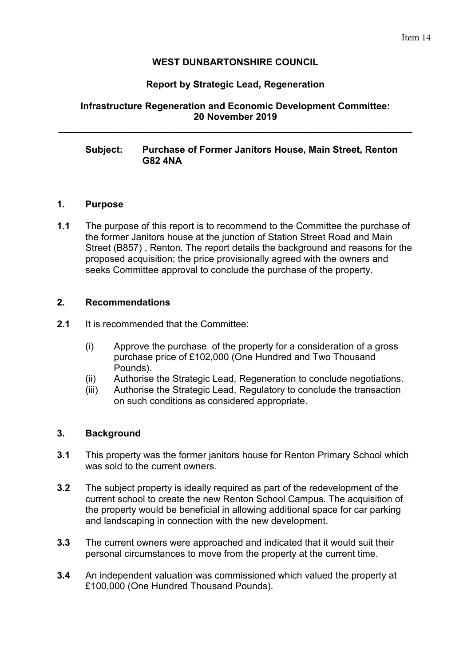### **WEST DUNBARTONSHIRE COUNCIL**

### **Report by Strategic Lead, Regeneration**

## **Infrastructure Regeneration and Economic Development Committee: 20 November 2019**

**\_\_\_\_\_\_\_\_\_\_\_\_\_\_\_\_\_\_\_\_\_\_\_\_\_\_\_\_\_\_\_\_\_\_\_\_\_\_\_\_\_\_\_\_\_\_\_\_\_\_\_\_\_\_\_\_\_\_\_\_\_\_\_\_\_\_\_** 

### **Subject: Purchase of Former Janitors House, Main Street, Renton G82 4NA**

#### **1. Purpose**

**1.1** The purpose of this report is to recommend to the Committee the purchase of the former Janitors house at the junction of Station Street Road and Main Street (B857) , Renton. The report details the background and reasons for the proposed acquisition; the price provisionally agreed with the owners and seeks Committee approval to conclude the purchase of the property.

#### **2. Recommendations**

- **2.1** It is recommended that the Committee:
	- (i) Approve the purchase of the property for a consideration of a gross purchase price of £102,000 (One Hundred and Two Thousand Pounds).
	- (ii) Authorise the Strategic Lead, Regeneration to conclude negotiations.
	- (iii) Authorise the Strategic Lead, Regulatory to conclude the transaction on such conditions as considered appropriate.

#### **3. Background**

- **3.1** This property was the former janitors house for Renton Primary School which was sold to the current owners.
- **3.2** The subject property is ideally required as part of the redevelopment of the current school to create the new Renton School Campus. The acquisition of the property would be beneficial in allowing additional space for car parking and landscaping in connection with the new development.
- **3.3** The current owners were approached and indicated that it would suit their personal circumstances to move from the property at the current time.
- **3.4** An independent valuation was commissioned which valued the property at £100,000 (One Hundred Thousand Pounds).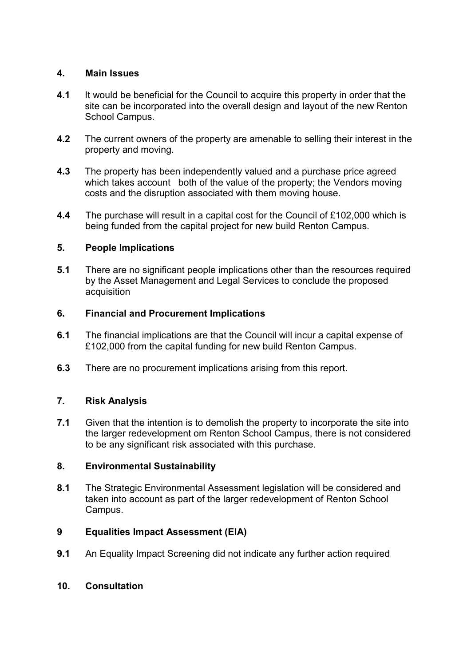## **4. Main Issues**

- **4.1** It would be beneficial for the Council to acquire this property in order that the site can be incorporated into the overall design and layout of the new Renton School Campus.
- **4.2** The current owners of the property are amenable to selling their interest in the property and moving.
- **4.3** The property has been independently valued and a purchase price agreed which takes account both of the value of the property; the Vendors moving costs and the disruption associated with them moving house.
- **4.4** The purchase will result in a capital cost for the Council of £102,000 which is being funded from the capital project for new build Renton Campus.

## **5. People Implications**

**5.1** There are no significant people implications other than the resources required by the Asset Management and Legal Services to conclude the proposed **acquisition** 

### **6. Financial and Procurement Implications**

- **6.1** The financial implications are that the Council will incur a capital expense of £102,000 from the capital funding for new build Renton Campus.
- **6.3** There are no procurement implications arising from this report.

# **7. Risk Analysis**

**7.1** Given that the intention is to demolish the property to incorporate the site into the larger redevelopment om Renton School Campus, there is not considered to be any significant risk associated with this purchase.

### **8. Environmental Sustainability**

**8.1** The Strategic Environmental Assessment legislation will be considered and taken into account as part of the larger redevelopment of Renton School Campus.

# **9 Equalities Impact Assessment (EIA)**

**9.1** An Equality Impact Screening did not indicate any further action required

### **10. Consultation**